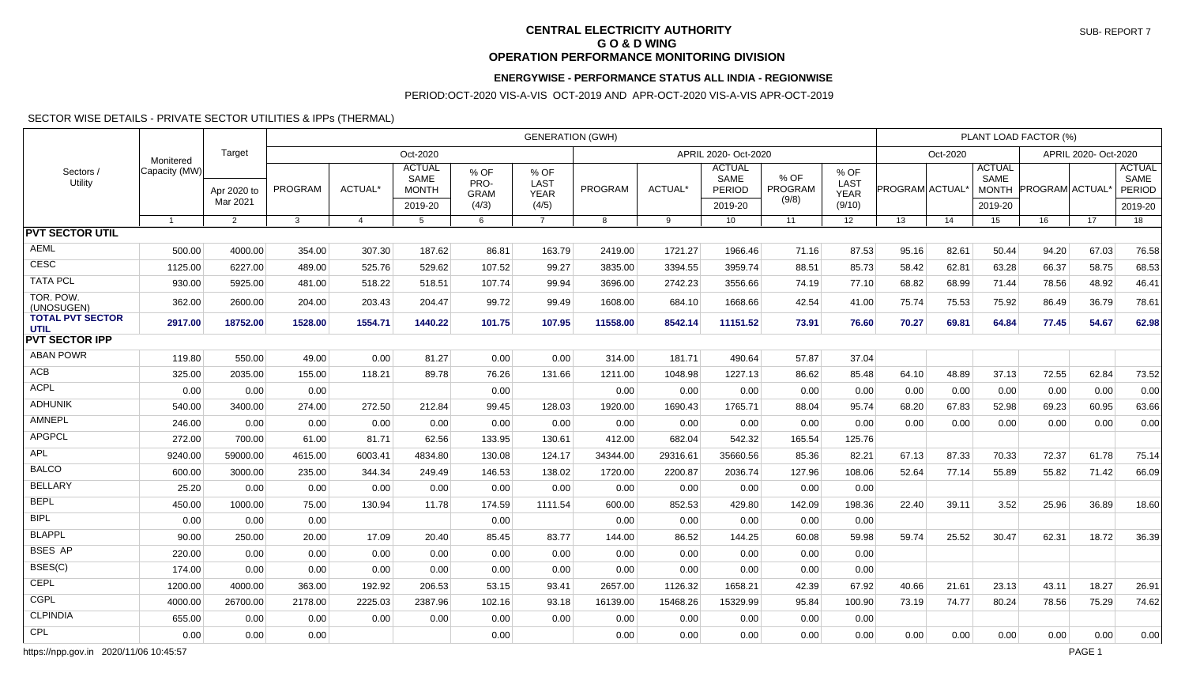#### **CENTRAL ELECTRICITY AUTHORITY G O & D WING OPERATION PERFORMANCE MONITORING DIVISION**

#### **ENERGYWISE - PERFORMANCE STATUS ALL INDIA - REGIONWISE**

PERIOD:OCT-2020 VIS-A-VIS OCT-2019 AND APR-OCT-2020 VIS-A-VIS APR-OCT-2019

#### SECTOR WISE DETAILS - PRIVATE SECTOR UTILITIES & IPPs (THERMAL)

| Sectors /<br>Utility            | Monitered      |                |                | <b>GENERATION (GWH)</b> |                                       |                             |                             |          |          |                                               |                 |                             |                       |       |                                              | PLANT LOAD FACTOR (%) |       |                                               |  |  |  |  |
|---------------------------------|----------------|----------------|----------------|-------------------------|---------------------------------------|-----------------------------|-----------------------------|----------|----------|-----------------------------------------------|-----------------|-----------------------------|-----------------------|-------|----------------------------------------------|-----------------------|-------|-----------------------------------------------|--|--|--|--|
|                                 |                | Target         |                |                         | Oct-2020                              |                             | APRIL 2020- Oct-2020        |          |          |                                               |                 |                             | Oct-2020              |       | APRIL 2020- Oct-2020                         |                       |       |                                               |  |  |  |  |
|                                 | Capacity (MW)  | Apr 2020 to    | <b>PROGRAM</b> | ACTUAL*                 | <b>ACTUAL</b><br>SAME<br><b>MONTH</b> | % OF<br>PRO-<br><b>GRAM</b> | % OF<br>LAST<br><b>YEAR</b> | PROGRAM  | ACTUAL*  | <b>ACTUAL</b><br><b>SAME</b><br><b>PERIOD</b> | % OF<br>PROGRAM | % OF<br>LAST<br><b>YEAR</b> | <b>PROGRAM ACTUAL</b> |       | <b>ACTUAL</b><br><b>SAME</b><br><b>MONTH</b> | PROGRAM ACTUAL        |       | <b>ACTUAL</b><br><b>SAME</b><br><b>PERIOD</b> |  |  |  |  |
|                                 |                | Mar 2021       |                |                         | 2019-20                               | (4/3)                       | (4/5)                       |          |          | 2019-20                                       | (9/8)           | (9/10)                      |                       |       | 2019-20                                      |                       |       | 2019-20                                       |  |  |  |  |
|                                 | $\overline{1}$ | $\overline{2}$ | 3              | $\overline{4}$          | $5^{\circ}$                           | 6                           | $\overline{7}$              | 8        | 9        | 10                                            | 11              | 12                          | 13                    | 14    | 15                                           | 16                    | 17    | 18                                            |  |  |  |  |
| <b>PVT SECTOR UTIL</b>          |                |                |                |                         |                                       |                             |                             |          |          |                                               |                 |                             |                       |       |                                              |                       |       |                                               |  |  |  |  |
| <b>AEML</b>                     | 500.00         | 4000.00        | 354.00         | 307.30                  | 187.62                                | 86.81                       | 163.79                      | 2419.00  | 1721.27  | 1966.46                                       | 71.16           | 87.53                       | 95.16                 | 82.61 | 50.44                                        | 94.20                 | 67.03 | 76.58                                         |  |  |  |  |
| <b>CESC</b>                     | 1125.00        | 6227.00        | 489.00         | 525.76                  | 529.62                                | 107.52                      | 99.27                       | 3835.00  | 3394.55  | 3959.74                                       | 88.51           | 85.73                       | 58.42                 | 62.81 | 63.28                                        | 66.37                 | 58.75 | 68.53                                         |  |  |  |  |
| <b>TATA PCL</b>                 | 930.00         | 5925.00        | 481.00         | 518.22                  | 518.51                                | 107.74                      | 99.94                       | 3696.00  | 2742.23  | 3556.66                                       | 74.19           | 77.10                       | 68.82                 | 68.99 | 71.44                                        | 78.56                 | 48.92 | 46.41                                         |  |  |  |  |
| TOR. POW.<br>(UNOSUGEN)         | 362.00         | 2600.00        | 204.00         | 203.43                  | 204.47                                | 99.72                       | 99.49                       | 1608.00  | 684.10   | 1668.66                                       | 42.54           | 41.00                       | 75.74                 | 75.53 | 75.92                                        | 86.49                 | 36.79 | 78.61                                         |  |  |  |  |
| <b>TOTAL PVT SECTOR</b><br>UTIL | 2917.00        | 18752.00       | 1528.00        | 1554.71                 | 1440.22                               | 101.75                      | 107.95                      | 11558.00 | 8542.14  | 11151.52                                      | 73.91           | 76.60                       | 70.27                 | 69.81 | 64.84                                        | 77.45                 | 54.67 | 62.98                                         |  |  |  |  |
| <b>PVT SECTOR IPP</b>           |                |                |                |                         |                                       |                             |                             |          |          |                                               |                 |                             |                       |       |                                              |                       |       |                                               |  |  |  |  |
| <b>ABAN POWR</b>                | 119.80         | 550.00         | 49.00          | 0.00                    | 81.27                                 | 0.00                        | 0.00                        | 314.00   | 181.71   | 490.64                                        | 57.87           | 37.04                       |                       |       |                                              |                       |       |                                               |  |  |  |  |
| ACB                             | 325.00         | 2035.00        | 155.00         | 118.21                  | 89.78                                 | 76.26                       | 131.66                      | 1211.00  | 1048.98  | 1227.13                                       | 86.62           | 85.48                       | 64.10                 | 48.89 | 37.13                                        | 72.55                 | 62.84 | 73.52                                         |  |  |  |  |
| <b>ACPL</b>                     | 0.00           | 0.00           | 0.00           |                         |                                       | 0.00                        |                             | 0.00     | 0.00     | 0.00                                          | 0.00            | 0.00                        | 0.00                  | 0.00  | 0.00                                         | 0.00                  | 0.00  | 0.00                                          |  |  |  |  |
| <b>ADHUNIK</b>                  | 540.00         | 3400.00        | 274.00         | 272.50                  | 212.84                                | 99.45                       | 128.03                      | 1920.00  | 1690.43  | 1765.71                                       | 88.04           | 95.74                       | 68.20                 | 67.83 | 52.98                                        | 69.23                 | 60.95 | 63.66                                         |  |  |  |  |
| <b>AMNEPL</b>                   | 246.00         | 0.00           | 0.00           | 0.00                    | 0.00                                  | 0.00                        | 0.00                        | 0.00     | 0.00     | 0.00                                          | 0.00            | 0.00                        | 0.00                  | 0.00  | 0.00                                         | 0.00                  | 0.00  | 0.00                                          |  |  |  |  |
| <b>APGPCL</b>                   | 272.00         | 700.00         | 61.00          | 81.71                   | 62.56                                 | 133.95                      | 130.61                      | 412.00   | 682.04   | 542.32                                        | 165.54          | 125.76                      |                       |       |                                              |                       |       |                                               |  |  |  |  |
| <b>APL</b>                      | 9240.00        | 59000.00       | 4615.00        | 6003.41                 | 4834.80                               | 130.08                      | 124.17                      | 34344.00 | 29316.61 | 35660.56                                      | 85.36           | 82.21                       | 67.13                 | 87.33 | 70.33                                        | 72.37                 | 61.78 | 75.14                                         |  |  |  |  |
| <b>BALCO</b>                    | 600.00         | 3000.00        | 235.00         | 344.34                  | 249.49                                | 146.53                      | 138.02                      | 1720.00  | 2200.87  | 2036.74                                       | 127.96          | 108.06                      | 52.64                 | 77.14 | 55.89                                        | 55.82                 | 71.42 | 66.09                                         |  |  |  |  |
| <b>BELLARY</b>                  | 25.20          | 0.00           | 0.00           | 0.00                    | 0.00                                  | 0.00                        | 0.00                        | 0.00     | 0.00     | 0.00                                          | 0.00            | 0.00                        |                       |       |                                              |                       |       |                                               |  |  |  |  |
| <b>BEPL</b>                     | 450.00         | 1000.00        | 75.00          | 130.94                  | 11.78                                 | 174.59                      | 1111.54                     | 600.00   | 852.53   | 429.80                                        | 142.09          | 198.36                      | 22.40                 | 39.11 | 3.52                                         | 25.96                 | 36.89 | 18.60                                         |  |  |  |  |
| <b>BIPL</b>                     | 0.00           | 0.00           | 0.00           |                         |                                       | 0.00                        |                             | 0.00     | 0.00     | 0.00                                          | 0.00            | 0.00                        |                       |       |                                              |                       |       |                                               |  |  |  |  |
| <b>BLAPPL</b>                   | 90.00          | 250.00         | 20.00          | 17.09                   | 20.40                                 | 85.45                       | 83.77                       | 144.00   | 86.52    | 144.25                                        | 60.08           | 59.98                       | 59.74                 | 25.52 | 30.47                                        | 62.31                 | 18.72 | 36.39                                         |  |  |  |  |
| <b>BSES AP</b>                  | 220.00         | 0.00           | 0.00           | 0.00                    | 0.00                                  | 0.00                        | 0.00                        | 0.00     | 0.00     | 0.00                                          | 0.00            | 0.00                        |                       |       |                                              |                       |       |                                               |  |  |  |  |
| BSES(C)                         | 174.00         | 0.00           | 0.00           | 0.00                    | 0.00                                  | 0.00                        | 0.00                        | 0.00     | 0.00     | 0.00                                          | 0.00            | 0.00                        |                       |       |                                              |                       |       |                                               |  |  |  |  |
| <b>CEPL</b>                     | 1200.00        | 4000.00        | 363.00         | 192.92                  | 206.53                                | 53.15                       | 93.41                       | 2657.00  | 1126.32  | 1658.21                                       | 42.39           | 67.92                       | 40.66                 | 21.61 | 23.13                                        | 43.11                 | 18.27 | 26.91                                         |  |  |  |  |
| <b>CGPL</b>                     | 4000.00        | 26700.00       | 2178.00        | 2225.03                 | 2387.96                               | 102.16                      | 93.18                       | 16139.00 | 15468.26 | 15329.99                                      | 95.84           | 100.90                      | 73.19                 | 74.77 | 80.24                                        | 78.56                 | 75.29 | 74.62                                         |  |  |  |  |
| <b>CLPINDIA</b>                 | 655.00         | 0.00           | 0.00           | 0.00                    | 0.00                                  | 0.00                        | 0.00                        | 0.00     | 0.00     | 0.00                                          | 0.00            | 0.00                        |                       |       |                                              |                       |       |                                               |  |  |  |  |
| <b>CPL</b>                      | 0.00           | 0.00           | 0.00           |                         |                                       | 0.00                        |                             | 0.00     | 0.00     | 0.00                                          | 0.00            | 0.00                        | 0.00                  | 0.00  | 0.00                                         | 0.00                  | 0.00  | 0.00                                          |  |  |  |  |

https://npp.gov.in 2020/11/06 10:45:57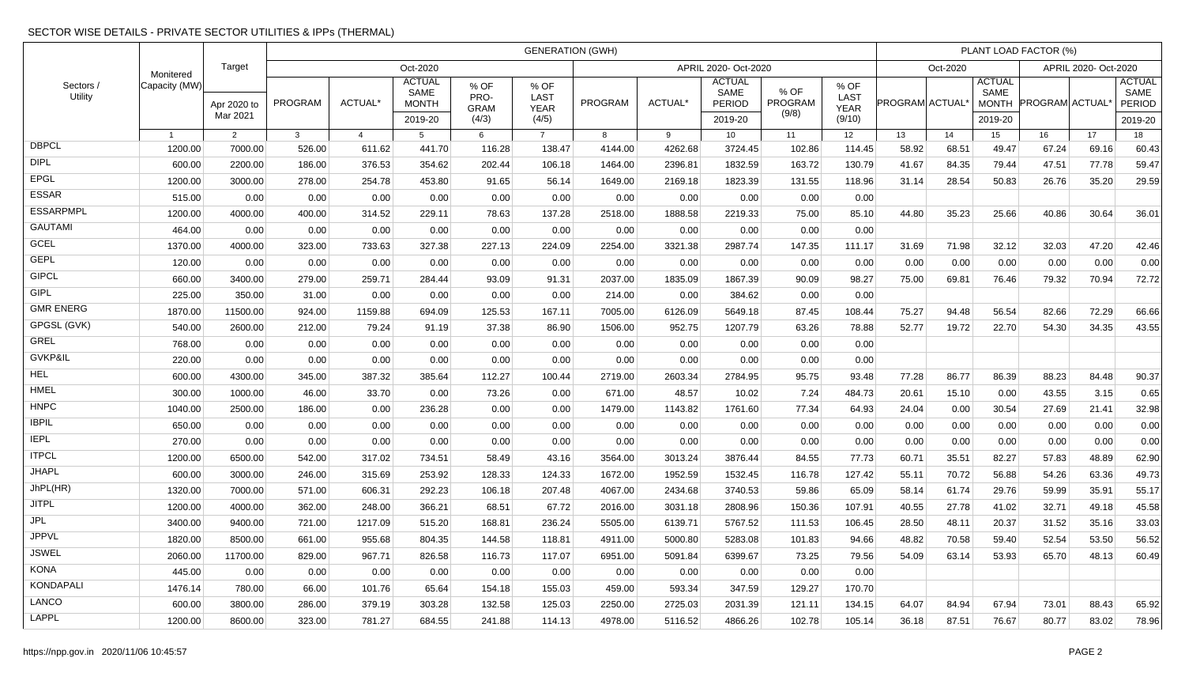# SECTOR WISE DETAILS - PRIVATE SECTOR UTILITIES & IPPs (THERMAL)

| Sectors /<br>Utility |                | Target<br>Monitered<br>Apr 2020 to<br>Mar 2021 | <b>GENERATION (GWH)</b> |                |                                                  |                                      |                                      |                      |                |                                                   |                                 |                                              |                             |          | PLANT LOAD FACTOR (%)                            |                      |       |                                            |  |  |  |
|----------------------|----------------|------------------------------------------------|-------------------------|----------------|--------------------------------------------------|--------------------------------------|--------------------------------------|----------------------|----------------|---------------------------------------------------|---------------------------------|----------------------------------------------|-----------------------------|----------|--------------------------------------------------|----------------------|-------|--------------------------------------------|--|--|--|
|                      |                |                                                | Oct-2020                |                |                                                  |                                      |                                      | APRIL 2020- Oct-2020 |                |                                                   |                                 |                                              |                             | Oct-2020 |                                                  | APRIL 2020- Oct-2020 |       |                                            |  |  |  |
|                      | Capacity (MW)  |                                                | <b>PROGRAM</b>          | <b>ACTUAL*</b> | <b>ACTUAL</b><br>SAME<br><b>MONTH</b><br>2019-20 | % OF<br>PRO-<br><b>GRAM</b><br>(4/3) | % OF<br>LAST<br><b>YEAR</b><br>(4/5) | PROGRAM              | <b>ACTUAL*</b> | <b>ACTUAL</b><br>SAME<br><b>PERIOD</b><br>2019-20 | % OF<br><b>PROGRAM</b><br>(9/8) | % OF<br><b>LAST</b><br><b>YEAR</b><br>(9/10) | PROGRAM ACTUAL <sup>®</sup> |          | <b>ACTUAL</b><br>SAME<br><b>MONTH</b><br>2019-20 | PROGRAM ACTUAL       |       | <b>ACTUAL</b><br>SAME<br>PERIOD<br>2019-20 |  |  |  |
|                      | $\overline{1}$ | 2                                              | 3                       | $\overline{4}$ | 5                                                | 6                                    | $\overline{7}$                       | $\mathbf{a}$         | 9              | 10 <sup>1</sup>                                   | 11                              | 12                                           | 13                          | 14       | 15 <sub>1</sub>                                  | 16                   | 17    | 18                                         |  |  |  |
| <b>DBPCL</b>         | 1200.00        | 7000.00                                        | 526.00                  | 611.62         | 441.70                                           | 116.28                               | 138.47                               | 4144.00              | 4262.68        | 3724.45                                           | 102.86                          | 114.45                                       | 58.92                       | 68.51    | 49.47                                            | 67.24                | 69.16 | 60.43                                      |  |  |  |
| <b>DIPL</b>          | 600.00         | 2200.00                                        | 186.00                  | 376.53         | 354.62                                           | 202.44                               | 106.18                               | 1464.00              | 2396.81        | 1832.59                                           | 163.72                          | 130.79                                       | 41.67                       | 84.35    | 79.44                                            | 47.51                | 77.78 | 59.47                                      |  |  |  |
| <b>EPGL</b>          | 1200.00        | 3000.00                                        | 278.00                  | 254.78         | 453.80                                           | 91.65                                | 56.14                                | 1649.00              | 2169.18        | 1823.39                                           | 131.55                          | 118.96                                       | 31.14                       | 28.54    | 50.83                                            | 26.76                | 35.20 | 29.59                                      |  |  |  |
| <b>ESSAR</b>         | 515.00         | 0.00                                           | 0.00                    | 0.00           | 0.00                                             | 0.00                                 | 0.00                                 | 0.00                 | 0.00           | 0.00                                              | 0.00                            | 0.00                                         |                             |          |                                                  |                      |       |                                            |  |  |  |
| <b>ESSARPMPL</b>     | 1200.00        | 4000.00                                        | 400.00                  | 314.52         | 229.11                                           | 78.63                                | 137.28                               | 2518.00              | 1888.58        | 2219.33                                           | 75.00                           | 85.10                                        | 44.80                       | 35.23    | 25.66                                            | 40.86                | 30.64 | 36.01                                      |  |  |  |
| <b>GAUTAMI</b>       | 464.00         | 0.00                                           | 0.00                    | 0.00           | 0.00                                             | 0.00                                 | 0.00                                 | 0.00                 | 0.00           | 0.00                                              | 0.00                            | 0.00                                         |                             |          |                                                  |                      |       |                                            |  |  |  |
| <b>GCEL</b>          | 1370.00        | 4000.00                                        | 323.00                  | 733.63         | 327.38                                           | 227.13                               | 224.09                               | 2254.00              | 3321.38        | 2987.74                                           | 147.35                          | 111.17                                       | 31.69                       | 71.98    | 32.12                                            | 32.03                | 47.20 | 42.46                                      |  |  |  |
| <b>GEPL</b>          | 120.00         | 0.00                                           | 0.00                    | 0.00           | 0.00                                             | 0.00                                 | 0.00                                 | 0.00                 | 0.00           | 0.00                                              | 0.00                            | 0.00                                         | 0.00                        | 0.00     | 0.00                                             | 0.00                 | 0.00  | 0.00                                       |  |  |  |
| <b>GIPCL</b>         | 660.00         | 3400.00                                        | 279.00                  | 259.71         | 284.44                                           | 93.09                                | 91.31                                | 2037.00              | 1835.09        | 1867.39                                           | 90.09                           | 98.27                                        | 75.00                       | 69.81    | 76.46                                            | 79.32                | 70.94 | 72.72                                      |  |  |  |
| <b>GIPL</b>          | 225.00         | 350.00                                         | 31.00                   | 0.00           | 0.00                                             | 0.00                                 | 0.00                                 | 214.00               | 0.00           | 384.62                                            | 0.00                            | 0.00                                         |                             |          |                                                  |                      |       |                                            |  |  |  |
| <b>GMR ENERG</b>     | 1870.00        | 11500.00                                       | 924.00                  | 1159.88        | 694.09                                           | 125.53                               | 167.11                               | 7005.00              | 6126.09        | 5649.18                                           | 87.45                           | 108.44                                       | 75.27                       | 94.48    | 56.54                                            | 82.66                | 72.29 | 66.66                                      |  |  |  |
| GPGSL (GVK)          | 540.00         | 2600.00                                        | 212.00                  | 79.24          | 91.19                                            | 37.38                                | 86.90                                | 1506.00              | 952.75         | 1207.79                                           | 63.26                           | 78.88                                        | 52.77                       | 19.72    | 22.70                                            | 54.30                | 34.35 | 43.55                                      |  |  |  |
| <b>GREL</b>          | 768.00         | 0.00                                           | 0.00                    | 0.00           | 0.00                                             | 0.00                                 | 0.00                                 | 0.00                 | 0.00           | 0.00                                              | 0.00                            | 0.00                                         |                             |          |                                                  |                      |       |                                            |  |  |  |
| GVKP&IL              | 220.00         | 0.00                                           | 0.00                    | 0.00           | 0.00                                             | 0.00                                 | 0.00                                 | 0.00                 | 0.00           | 0.00                                              | 0.00                            | 0.00                                         |                             |          |                                                  |                      |       |                                            |  |  |  |
| <b>HEL</b>           | 600.00         | 4300.00                                        | 345.00                  | 387.32         | 385.64                                           | 112.27                               | 100.44                               | 2719.00              | 2603.34        | 2784.95                                           | 95.75                           | 93.48                                        | 77.28                       | 86.77    | 86.39                                            | 88.23                | 84.48 | 90.37                                      |  |  |  |
| HMEL                 | 300.00         | 1000.00                                        | 46.00                   | 33.70          | 0.00                                             | 73.26                                | 0.00                                 | 671.00               | 48.57          | 10.02                                             | 7.24                            | 484.73                                       | 20.61                       | 15.10    | 0.00                                             | 43.55                | 3.15  | 0.65                                       |  |  |  |
| <b>HNPC</b>          | 1040.00        | 2500.00                                        | 186.00                  | 0.00           | 236.28                                           | 0.00                                 | 0.00                                 | 1479.00              | 1143.82        | 1761.60                                           | 77.34                           | 64.93                                        | 24.04                       | 0.00     | 30.54                                            | 27.69                | 21.41 | 32.98                                      |  |  |  |
| <b>IBPIL</b>         | 650.00         | 0.00                                           | 0.00                    | 0.00           | 0.00                                             | 0.00                                 | 0.00                                 | 0.00                 | 0.00           | 0.00                                              | 0.00                            | 0.00                                         | 0.00                        | 0.00     | 0.00                                             | 0.00                 | 0.00  | 0.00                                       |  |  |  |
| <b>IEPL</b>          | 270.00         | 0.00                                           | 0.00                    | 0.00           | 0.00                                             | 0.00                                 | 0.00                                 | 0.00                 | 0.00           | 0.00                                              | 0.00                            | 0.00                                         | 0.00                        | 0.00     | 0.00                                             | 0.00                 | 0.00  | 0.00                                       |  |  |  |
| <b>ITPCL</b>         | 1200.00        | 6500.00                                        | 542.00                  | 317.02         | 734.51                                           | 58.49                                | 43.16                                | 3564.00              | 3013.24        | 3876.44                                           | 84.55                           | 77.73                                        | 60.71                       | 35.51    | 82.27                                            | 57.83                | 48.89 | 62.90                                      |  |  |  |
| <b>JHAPL</b>         | 600.00         | 3000.00                                        | 246.00                  | 315.69         | 253.92                                           | 128.33                               | 124.33                               | 1672.00              | 1952.59        | 1532.45                                           | 116.78                          | 127.42                                       | 55.11                       | 70.72    | 56.88                                            | 54.26                | 63.36 | 49.73                                      |  |  |  |
| JhPL(HR)             | 1320.00        | 7000.00                                        | 571.00                  | 606.31         | 292.23                                           | 106.18                               | 207.48                               | 4067.00              | 2434.68        | 3740.53                                           | 59.86                           | 65.09                                        | 58.14                       | 61.74    | 29.76                                            | 59.99                | 35.91 | 55.17                                      |  |  |  |
| <b>JITPL</b>         | 1200.00        | 4000.00                                        | 362.00                  | 248.00         | 366.21                                           | 68.51                                | 67.72                                | 2016.00              | 3031.18        | 2808.96                                           | 150.36                          | 107.91                                       | 40.55                       | 27.78    | 41.02                                            | 32.71                | 49.18 | 45.58                                      |  |  |  |
| <b>JPL</b>           | 3400.00        | 9400.00                                        | 721.00                  | 1217.09        | 515.20                                           | 168.81                               | 236.24                               | 5505.00              | 6139.71        | 5767.52                                           | 111.53                          | 106.45                                       | 28.50                       | 48.11    | 20.37                                            | 31.52                | 35.16 | 33.03                                      |  |  |  |
| <b>JPPVL</b>         | 1820.00        | 8500.00                                        | 661.00                  | 955.68         | 804.35                                           | 144.58                               | 118.81                               | 4911.00              | 5000.80        | 5283.08                                           | 101.83                          | 94.66                                        | 48.82                       | 70.58    | 59.40                                            | 52.54                | 53.50 | 56.52                                      |  |  |  |
| <b>JSWEL</b>         | 2060.00        | 11700.00                                       | 829.00                  | 967.71         | 826.58                                           | 116.73                               | 117.07                               | 6951.00              | 5091.84        | 6399.67                                           | 73.25                           | 79.56                                        | 54.09                       | 63.14    | 53.93                                            | 65.70                | 48.13 | 60.49                                      |  |  |  |
| <b>KONA</b>          | 445.00         | 0.00                                           | 0.00                    | 0.00           | 0.00                                             | 0.00                                 | 0.00                                 | 0.00                 | 0.00           | 0.00                                              | 0.00                            | 0.00                                         |                             |          |                                                  |                      |       |                                            |  |  |  |
| <b>KONDAPALI</b>     | 1476.14        | 780.00                                         | 66.00                   | 101.76         | 65.64                                            | 154.18                               | 155.03                               | 459.00               | 593.34         | 347.59                                            | 129.27                          | 170.70                                       |                             |          |                                                  |                      |       |                                            |  |  |  |
| LANCO                | 600.00         | 3800.00                                        | 286.00                  | 379.19         | 303.28                                           | 132.58                               | 125.03                               | 2250.00              | 2725.03        | 2031.39                                           | 121.11                          | 134.15                                       | 64.07                       | 84.94    | 67.94                                            | 73.01                | 88.43 | 65.92                                      |  |  |  |
| <b>LAPPL</b>         | 1200.00        | 8600.00                                        | 323.00                  | 781.27         | 684.55                                           | 241.88                               | 114.13                               | 4978.00              | 5116.52        | 4866.26                                           | 102.78                          | 105.14                                       | 36.18                       | 87.51    | 76.67                                            | 80.77                | 83.02 | 78.96                                      |  |  |  |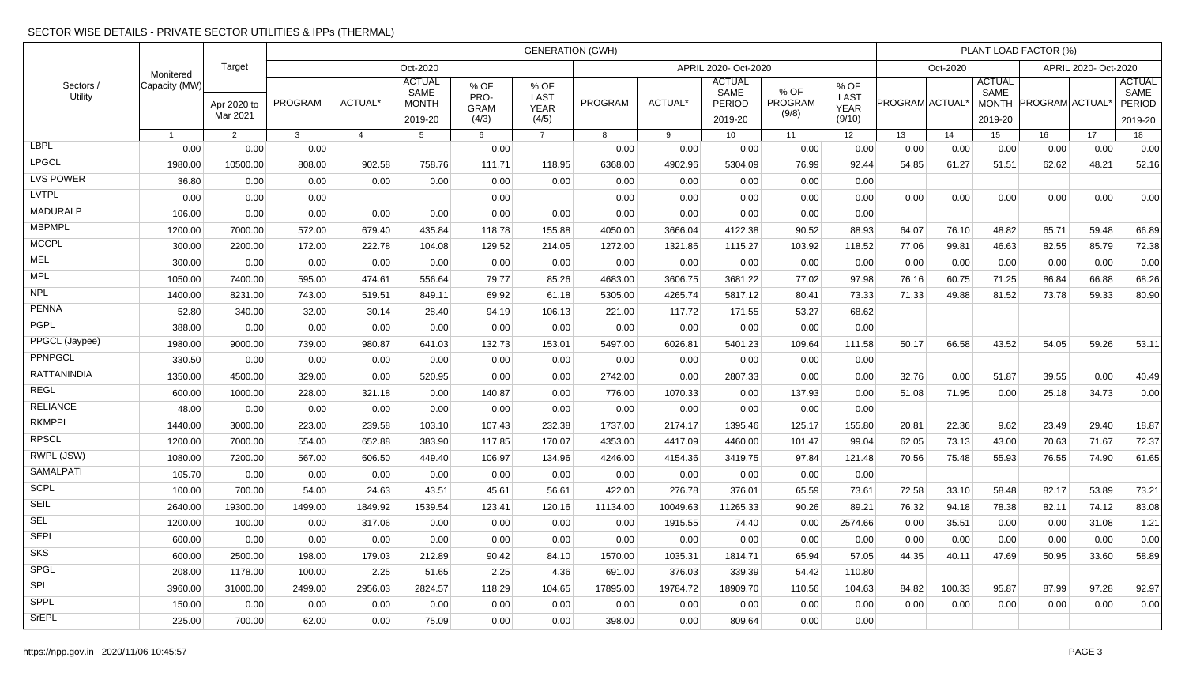# SECTOR WISE DETAILS - PRIVATE SECTOR UTILITIES & IPPs (THERMAL)

| Sectors /<br>Utility |                |                         | <b>GENERATION (GWH)</b> |                |                                                  |                                      |                                      |                      |          |                                                   |                          |                                              |                 |          | PLANT LOAD FACTOR (%)                            |                      |       |                                            |  |  |  |
|----------------------|----------------|-------------------------|-------------------------|----------------|--------------------------------------------------|--------------------------------------|--------------------------------------|----------------------|----------|---------------------------------------------------|--------------------------|----------------------------------------------|-----------------|----------|--------------------------------------------------|----------------------|-------|--------------------------------------------|--|--|--|
|                      | Monitered      | Target                  | Oct-2020                |                |                                                  |                                      |                                      | APRIL 2020- Oct-2020 |          |                                                   |                          |                                              |                 | Oct-2020 |                                                  | APRIL 2020- Oct-2020 |       |                                            |  |  |  |
|                      | Capacity (MW)  | Apr 2020 to<br>Mar 2021 | <b>PROGRAM</b>          | <b>ACTUAL*</b> | <b>ACTUAL</b><br>SAME<br><b>MONTH</b><br>2019-20 | % OF<br>PRO-<br><b>GRAM</b><br>(4/3) | % OF<br>LAST<br><b>YEAR</b><br>(4/5) | PROGRAM              | ACTUAL*  | <b>ACTUAL</b><br>SAME<br><b>PERIOD</b><br>2019-20 | % OF<br>PROGRAM<br>(9/8) | % OF<br><b>LAST</b><br><b>YEAR</b><br>(9/10) | PROGRAM ACTUAL* |          | <b>ACTUAL</b><br>SAME<br><b>MONTH</b><br>2019-20 | PROGRAM ACTUAL       |       | <b>ACTUAL</b><br>SAME<br>PERIOD<br>2019-20 |  |  |  |
|                      | $\overline{1}$ | 2                       | $\mathbf{3}$            | $\overline{4}$ | 5                                                | 6                                    | $\overline{7}$                       | 8                    | 9        | 10 <sup>1</sup>                                   | 11                       | 12                                           | 13              | 14       | 15                                               | 16                   | 17    | 18                                         |  |  |  |
| <b>LBPL</b>          | 0.00           | 0.00                    | 0.00                    |                |                                                  | 0.00                                 |                                      | 0.00                 | 0.00     | 0.00                                              | 0.00                     | 0.00                                         | 0.00            | 0.00     | 0.00                                             | 0.00                 | 0.00  | 0.00                                       |  |  |  |
| <b>LPGCL</b>         | 1980.00        | 10500.00                | 808.00                  | 902.58         | 758.76                                           | 111.71                               | 118.95                               | 6368.00              | 4902.96  | 5304.09                                           | 76.99                    | 92.44                                        | 54.85           | 61.27    | 51.51                                            | 62.62                | 48.21 | 52.16                                      |  |  |  |
| <b>LVS POWER</b>     | 36.80          | 0.00                    | 0.00                    | 0.00           | 0.00                                             | 0.00                                 | 0.00                                 | 0.00                 | 0.00     | 0.00                                              | 0.00                     | 0.00                                         |                 |          |                                                  |                      |       |                                            |  |  |  |
| <b>LVTPL</b>         | 0.00           | 0.00                    | 0.00                    |                |                                                  | 0.00                                 |                                      | 0.00                 | 0.00     | 0.00                                              | 0.00                     | 0.00                                         | 0.00            | 0.00     | 0.00                                             | 0.00                 | 0.00  | 0.00                                       |  |  |  |
| <b>MADURAIP</b>      | 106.00         | 0.00                    | 0.00                    | 0.00           | 0.00                                             | 0.00                                 | 0.00                                 | 0.00                 | 0.00     | 0.00                                              | 0.00                     | 0.00                                         |                 |          |                                                  |                      |       |                                            |  |  |  |
| <b>MBPMPL</b>        | 1200.00        | 7000.00                 | 572.00                  | 679.40         | 435.84                                           | 118.78                               | 155.88                               | 4050.00              | 3666.04  | 4122.38                                           | 90.52                    | 88.93                                        | 64.07           | 76.10    | 48.82                                            | 65.71                | 59.48 | 66.89                                      |  |  |  |
| <b>MCCPL</b>         | 300.00         | 2200.00                 | 172.00                  | 222.78         | 104.08                                           | 129.52                               | 214.05                               | 1272.00              | 1321.86  | 1115.27                                           | 103.92                   | 118.52                                       | 77.06           | 99.81    | 46.63                                            | 82.55                | 85.79 | 72.38                                      |  |  |  |
| <b>MEL</b>           | 300.00         | 0.00                    | 0.00                    | 0.00           | 0.00                                             | 0.00                                 | 0.00                                 | 0.00                 | 0.00     | 0.00                                              | 0.00                     | 0.00                                         | 0.00            | 0.00     | 0.00                                             | 0.00                 | 0.00  | 0.00                                       |  |  |  |
| <b>MPL</b>           | 1050.00        | 7400.00                 | 595.00                  | 474.61         | 556.64                                           | 79.77                                | 85.26                                | 4683.00              | 3606.75  | 3681.22                                           | 77.02                    | 97.98                                        | 76.16           | 60.75    | 71.25                                            | 86.84                | 66.88 | 68.26                                      |  |  |  |
| <b>NPL</b>           | 1400.00        | 8231.00                 | 743.00                  | 519.51         | 849.11                                           | 69.92                                | 61.18                                | 5305.00              | 4265.74  | 5817.12                                           | 80.41                    | 73.33                                        | 71.33           | 49.88    | 81.52                                            | 73.78                | 59.33 | 80.90                                      |  |  |  |
| <b>PENNA</b>         | 52.80          | 340.00                  | 32.00                   | 30.14          | 28.40                                            | 94.19                                | 106.13                               | 221.00               | 117.72   | 171.55                                            | 53.27                    | 68.62                                        |                 |          |                                                  |                      |       |                                            |  |  |  |
| <b>PGPL</b>          | 388.00         | 0.00                    | 0.00                    | 0.00           | 0.00                                             | 0.00                                 | 0.00                                 | 0.00                 | 0.00     | 0.00                                              | 0.00                     | 0.00                                         |                 |          |                                                  |                      |       |                                            |  |  |  |
| PPGCL (Jaypee)       | 1980.00        | 9000.00                 | 739.00                  | 980.87         | 641.03                                           | 132.73                               | 153.01                               | 5497.00              | 6026.81  | 5401.23                                           | 109.64                   | 111.58                                       | 50.17           | 66.58    | 43.52                                            | 54.05                | 59.26 | 53.11                                      |  |  |  |
| PPNPGCL              | 330.50         | 0.00                    | 0.00                    | 0.00           | 0.00                                             | 0.00                                 | 0.00                                 | 0.00                 | 0.00     | 0.00                                              | 0.00                     | 0.00                                         |                 |          |                                                  |                      |       |                                            |  |  |  |
| <b>RATTANINDIA</b>   | 1350.00        | 4500.00                 | 329.00                  | 0.00           | 520.95                                           | 0.00                                 | 0.00                                 | 2742.00              | 0.00     | 2807.33                                           | 0.00                     | 0.00                                         | 32.76           | 0.00     | 51.87                                            | 39.55                | 0.00  | 40.49                                      |  |  |  |
| <b>REGL</b>          | 600.00         | 1000.00                 | 228.00                  | 321.18         | 0.00                                             | 140.87                               | 0.00                                 | 776.00               | 1070.33  | 0.00                                              | 137.93                   | 0.00                                         | 51.08           | 71.95    | 0.00                                             | 25.18                | 34.73 | 0.00                                       |  |  |  |
| <b>RELIANCE</b>      | 48.00          | 0.00                    | 0.00                    | 0.00           | 0.00                                             | 0.00                                 | 0.00                                 | 0.00                 | 0.00     | 0.00                                              | 0.00                     | 0.00                                         |                 |          |                                                  |                      |       |                                            |  |  |  |
| <b>RKMPPL</b>        | 1440.00        | 3000.00                 | 223.00                  | 239.58         | 103.10                                           | 107.43                               | 232.38                               | 1737.00              | 2174.17  | 1395.46                                           | 125.17                   | 155.80                                       | 20.81           | 22.36    | 9.62                                             | 23.49                | 29.40 | 18.87                                      |  |  |  |
| <b>RPSCL</b>         | 1200.00        | 7000.00                 | 554.00                  | 652.88         | 383.90                                           | 117.85                               | 170.07                               | 4353.00              | 4417.09  | 4460.00                                           | 101.47                   | 99.04                                        | 62.05           | 73.13    | 43.00                                            | 70.63                | 71.67 | 72.37                                      |  |  |  |
| RWPL (JSW)           | 1080.00        | 7200.00                 | 567.00                  | 606.50         | 449.40                                           | 106.97                               | 134.96                               | 4246.00              | 4154.36  | 3419.75                                           | 97.84                    | 121.48                                       | 70.56           | 75.48    | 55.93                                            | 76.55                | 74.90 | 61.65                                      |  |  |  |
| <b>SAMALPATI</b>     | 105.70         | 0.00                    | 0.00                    | 0.00           | 0.00                                             | 0.00                                 | 0.00                                 | 0.00                 | 0.00     | 0.00                                              | 0.00                     | 0.00                                         |                 |          |                                                  |                      |       |                                            |  |  |  |
| <b>SCPL</b>          | 100.00         | 700.00                  | 54.00                   | 24.63          | 43.51                                            | 45.61                                | 56.61                                | 422.00               | 276.78   | 376.01                                            | 65.59                    | 73.61                                        | 72.58           | 33.10    | 58.48                                            | 82.17                | 53.89 | 73.21                                      |  |  |  |
| <b>SEIL</b>          | 2640.00        | 19300.00                | 1499.00                 | 1849.92        | 1539.54                                          | 123.41                               | 120.16                               | 11134.00             | 10049.63 | 11265.33                                          | 90.26                    | 89.21                                        | 76.32           | 94.18    | 78.38                                            | 82.11                | 74.12 | 83.08                                      |  |  |  |
| <b>SEL</b>           | 1200.00        | 100.00                  | 0.00                    | 317.06         | 0.00                                             | 0.00                                 | 0.00                                 | 0.00                 | 1915.55  | 74.40                                             | 0.00                     | 2574.66                                      | 0.00            | 35.51    | 0.00                                             | 0.00                 | 31.08 | 1.21                                       |  |  |  |
| <b>SEPL</b>          | 600.00         | 0.00                    | 0.00                    | 0.00           | 0.00                                             | 0.00                                 | 0.00                                 | 0.00                 | 0.00     | 0.00                                              | 0.00                     | 0.00                                         | 0.00            | 0.00     | 0.00                                             | 0.00                 | 0.00  | 0.00                                       |  |  |  |
| SKS                  | 600.00         | 2500.00                 | 198.00                  | 179.03         | 212.89                                           | 90.42                                | 84.10                                | 1570.00              | 1035.31  | 1814.71                                           | 65.94                    | 57.05                                        | 44.35           | 40.11    | 47.69                                            | 50.95                | 33.60 | 58.89                                      |  |  |  |
| <b>SPGL</b>          | 208.00         | 1178.00                 | 100.00                  | 2.25           | 51.65                                            | 2.25                                 | 4.36                                 | 691.00               | 376.03   | 339.39                                            | 54.42                    | 110.80                                       |                 |          |                                                  |                      |       |                                            |  |  |  |
| <b>SPL</b>           | 3960.00        | 31000.00                | 2499.00                 | 2956.03        | 2824.57                                          | 118.29                               | 104.65                               | 17895.00             | 19784.72 | 18909.70                                          | 110.56                   | 104.63                                       | 84.82           | 100.33   | 95.87                                            | 87.99                | 97.28 | 92.97                                      |  |  |  |
| SPPL                 | 150.00         | 0.00                    | 0.00                    | 0.00           | 0.00                                             | 0.00                                 | 0.00                                 | 0.00                 | 0.00     | 0.00                                              | 0.00                     | 0.00                                         | 0.00            | 0.00     | 0.00                                             | 0.00                 | 0.00  | 0.00                                       |  |  |  |
| <b>SrEPL</b>         | 225.00         | 700.00                  | 62.00                   | 0.00           | 75.09                                            | 0.00                                 | 0.00                                 | 398.00               | 0.00     | 809.64                                            | 0.00                     | 0.00                                         |                 |          |                                                  |                      |       |                                            |  |  |  |